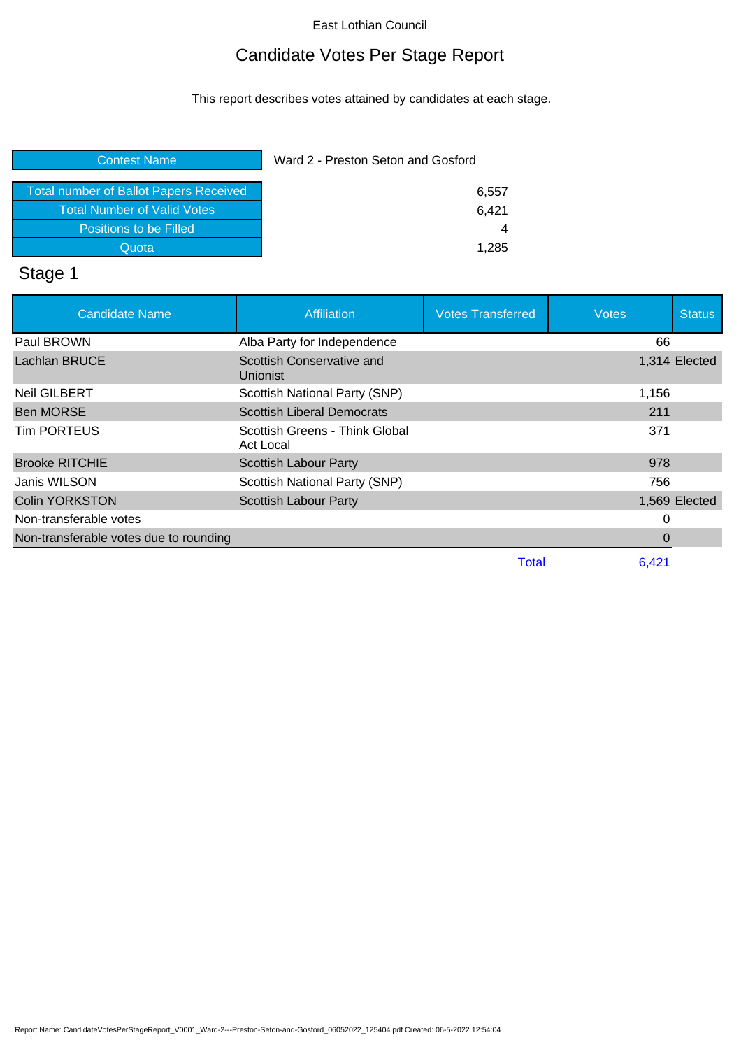## Candidate Votes Per Stage Report

This report describes votes attained by candidates at each stage.

| <b>Total number of Ballot Papers Received</b> |  |
|-----------------------------------------------|--|
| <b>Total Number of Valid Votes</b>            |  |
| Positions to be Filled                        |  |
|                                               |  |
| Quota                                         |  |

## Stage 1

| <b>Candidate Name</b>                  | <b>Affiliation</b>                           | <b>Votes Transferred</b> | <b>Votes</b> | <b>Status</b> |
|----------------------------------------|----------------------------------------------|--------------------------|--------------|---------------|
| Paul BROWN                             | Alba Party for Independence                  |                          | 66           |               |
| Lachlan BRUCE                          | Scottish Conservative and<br><b>Unionist</b> |                          |              | 1,314 Elected |
| <b>Neil GILBERT</b>                    | Scottish National Party (SNP)                |                          | 1,156        |               |
| <b>Ben MORSE</b>                       | <b>Scottish Liberal Democrats</b>            |                          | 211          |               |
| <b>Tim PORTEUS</b>                     | Scottish Greens - Think Global<br>Act Local  |                          | 371          |               |
| <b>Brooke RITCHIE</b>                  | Scottish Labour Party                        |                          | 978          |               |
| Janis WILSON                           | Scottish National Party (SNP)                |                          | 756          |               |
| <b>Colin YORKSTON</b>                  | <b>Scottish Labour Party</b>                 |                          |              | 1,569 Elected |
| Non-transferable votes                 |                                              |                          | 0            |               |
| Non-transferable votes due to rounding |                                              |                          | 0            |               |
|                                        |                                              | Total                    | 6,421        |               |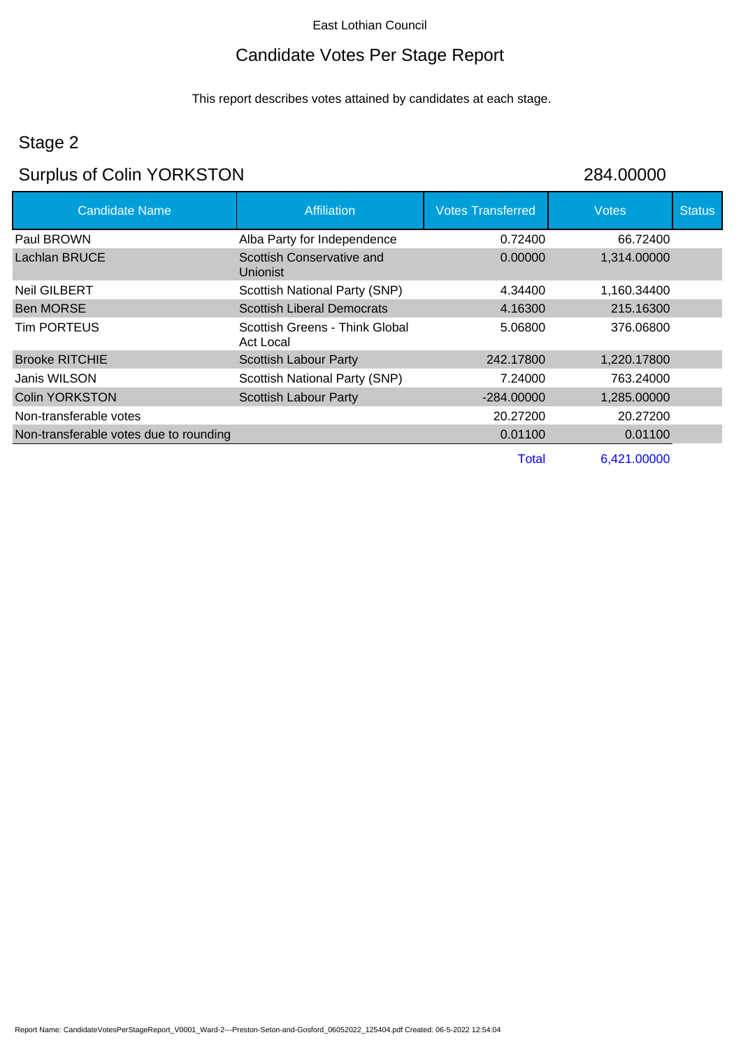# Candidate Votes Per Stage Report

This report describes votes attained by candidates at each stage.

## Stage 2

# Surplus of Colin YORKSTON 284.00000

| <b>Candidate Name</b>                  | <b>Affiliation</b>                           | <b>Votes Transferred</b> | <b>Votes</b> | <b>Status</b> |
|----------------------------------------|----------------------------------------------|--------------------------|--------------|---------------|
| Paul BROWN                             | Alba Party for Independence                  | 0.72400                  | 66.72400     |               |
| <b>Lachlan BRUCE</b>                   | Scottish Conservative and<br><b>Unionist</b> | 0.00000                  | 1,314.00000  |               |
| <b>Neil GILBERT</b>                    | Scottish National Party (SNP)                | 4.34400                  | 1,160.34400  |               |
| <b>Ben MORSE</b>                       | <b>Scottish Liberal Democrats</b>            | 4.16300                  | 215.16300    |               |
| Tim PORTEUS                            | Scottish Greens - Think Global<br>Act Local  | 5.06800                  | 376.06800    |               |
| <b>Brooke RITCHIE</b>                  | <b>Scottish Labour Party</b>                 | 242.17800                | 1,220.17800  |               |
| Janis WILSON                           | Scottish National Party (SNP)                | 7.24000                  | 763.24000    |               |
| <b>Colin YORKSTON</b>                  | <b>Scottish Labour Party</b>                 | $-284.00000$             | 1,285.00000  |               |
| Non-transferable votes                 |                                              | 20.27200                 | 20.27200     |               |
| Non-transferable votes due to rounding |                                              | 0.01100                  | 0.01100      |               |
|                                        |                                              | Total                    | 6,421.00000  |               |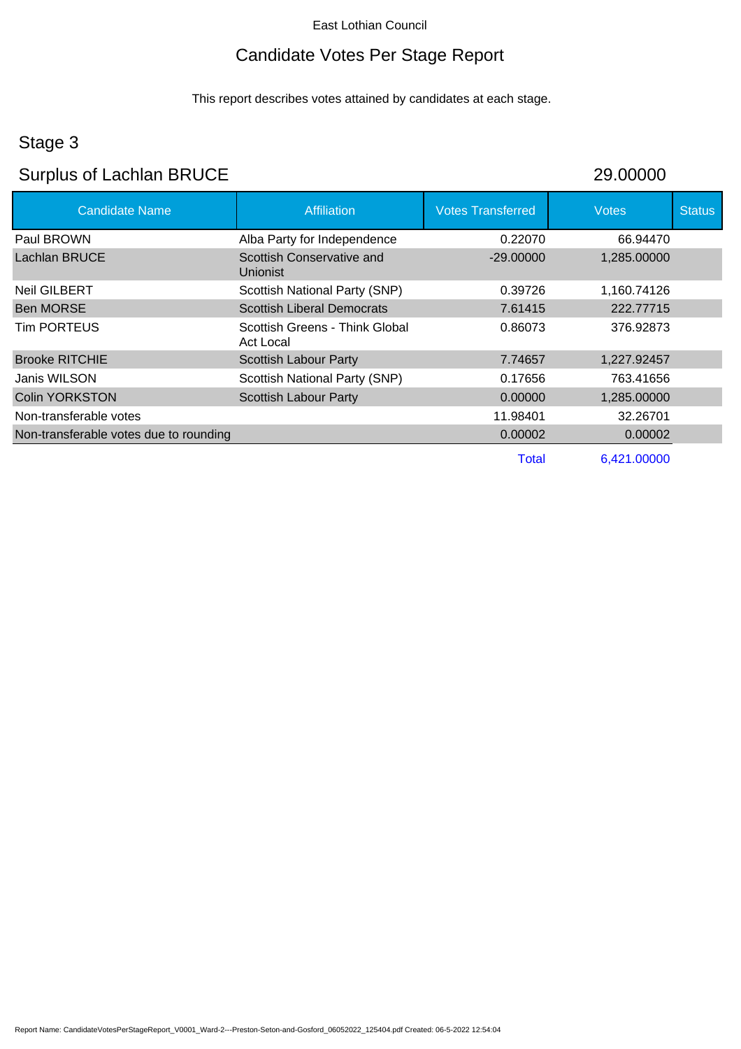# Candidate Votes Per Stage Report

This report describes votes attained by candidates at each stage.

## Stage 3

# Surplus of Lachlan BRUCE 29.00000

| <b>Candidate Name</b>                  | <b>Affiliation</b>                           | <b>Votes Transferred</b> | <b>Votes</b> | <b>Status</b> |
|----------------------------------------|----------------------------------------------|--------------------------|--------------|---------------|
| Paul BROWN                             | Alba Party for Independence                  | 0.22070                  | 66.94470     |               |
| Lachlan BRUCE                          | Scottish Conservative and<br><b>Unionist</b> | $-29.00000$              | 1,285.00000  |               |
| <b>Neil GILBERT</b>                    | Scottish National Party (SNP)                | 0.39726                  | 1,160.74126  |               |
| <b>Ben MORSE</b>                       | <b>Scottish Liberal Democrats</b>            | 7.61415                  | 222.77715    |               |
| <b>Tim PORTEUS</b>                     | Scottish Greens - Think Global<br>Act Local  | 0.86073                  | 376.92873    |               |
| <b>Brooke RITCHIE</b>                  | <b>Scottish Labour Party</b>                 | 7.74657                  | 1,227.92457  |               |
| Janis WILSON                           | Scottish National Party (SNP)                | 0.17656                  | 763.41656    |               |
| <b>Colin YORKSTON</b>                  | <b>Scottish Labour Party</b>                 | 0.00000                  | 1,285.00000  |               |
| Non-transferable votes                 |                                              | 11.98401                 | 32.26701     |               |
| Non-transferable votes due to rounding |                                              | 0.00002                  | 0.00002      |               |
|                                        |                                              | Total                    | 6,421.00000  |               |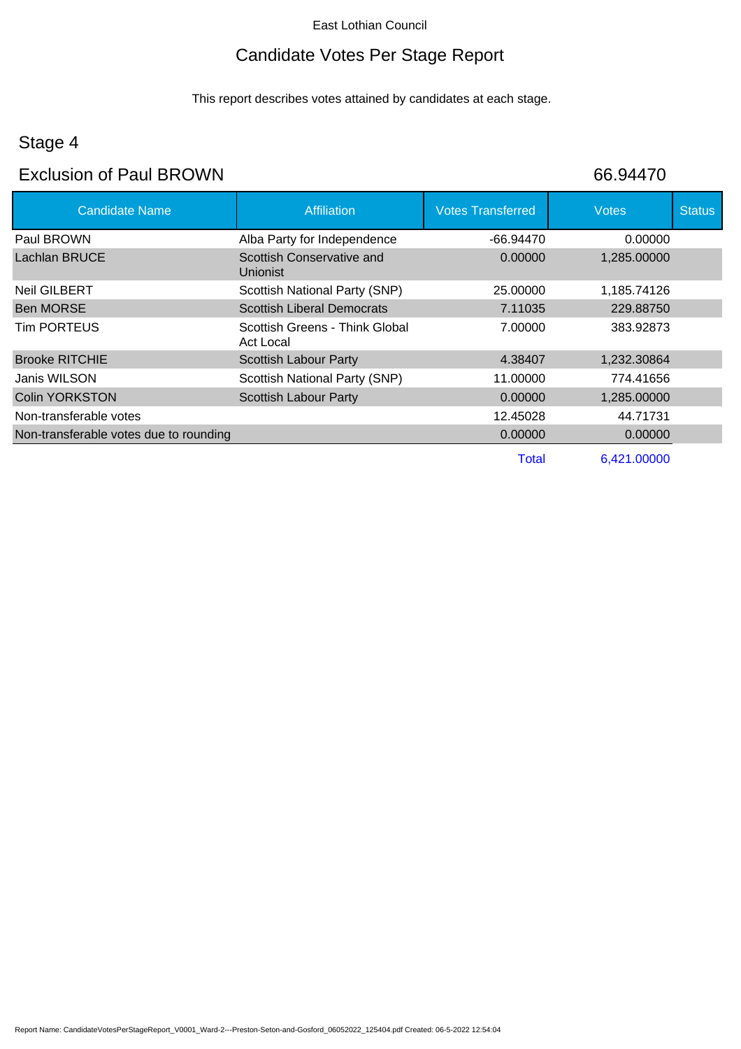## Candidate Votes Per Stage Report

This report describes votes attained by candidates at each stage.

## Stage 4

### Exclusion of Paul BROWN 66.94470

| <b>Candidate Name</b>                  | <b>Affiliation</b>                           | <b>Votes Transferred</b> | <b>Votes</b> | <b>Status</b> |
|----------------------------------------|----------------------------------------------|--------------------------|--------------|---------------|
| Paul BROWN                             | Alba Party for Independence                  | -66.94470                | 0.00000      |               |
| Lachlan BRUCE                          | Scottish Conservative and<br><b>Unionist</b> | 0.00000                  | 1,285.00000  |               |
| <b>Neil GILBERT</b>                    | Scottish National Party (SNP)                | 25.00000                 | 1,185.74126  |               |
| <b>Ben MORSE</b>                       | <b>Scottish Liberal Democrats</b>            | 7.11035                  | 229.88750    |               |
| Tim PORTEUS                            | Scottish Greens - Think Global<br>Act Local  | 7.00000                  | 383.92873    |               |
| <b>Brooke RITCHIE</b>                  | <b>Scottish Labour Party</b>                 | 4.38407                  | 1,232.30864  |               |
| Janis WILSON                           | Scottish National Party (SNP)                | 11.00000                 | 774.41656    |               |
| <b>Colin YORKSTON</b>                  | <b>Scottish Labour Party</b>                 | 0.00000                  | 1,285.00000  |               |
| Non-transferable votes                 |                                              | 12.45028                 | 44.71731     |               |
| Non-transferable votes due to rounding |                                              | 0.00000                  | 0.00000      |               |
|                                        |                                              | Total                    | 6,421.00000  |               |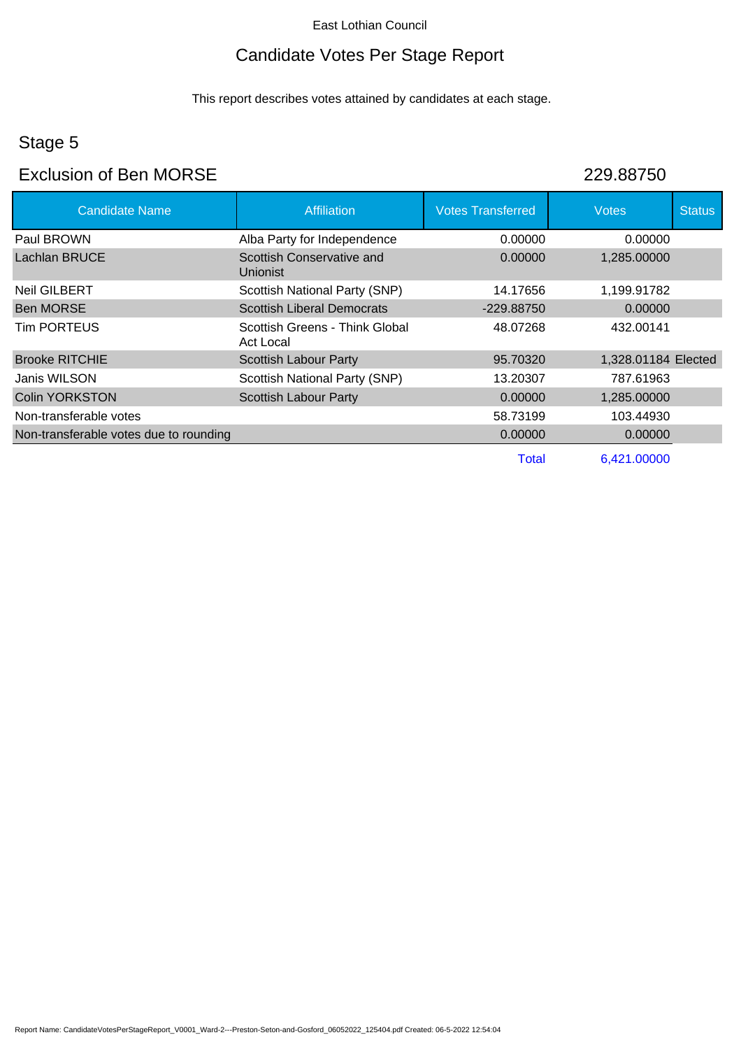## Candidate Votes Per Stage Report

This report describes votes attained by candidates at each stage.

### Stage 5

### Exclusion of Ben MORSE 229.88750

| <b>Candidate Name</b>                  | <b>Affiliation</b>                           | <b>Votes Transferred</b> | <b>Votes</b>        | <b>Status</b> |
|----------------------------------------|----------------------------------------------|--------------------------|---------------------|---------------|
| Paul BROWN                             | Alba Party for Independence                  | 0.00000                  | 0.00000             |               |
| Lachlan BRUCE                          | Scottish Conservative and<br><b>Unionist</b> | 0.00000                  | 1,285.00000         |               |
| Neil GILBERT                           | Scottish National Party (SNP)                | 14.17656                 | 1,199.91782         |               |
| <b>Ben MORSE</b>                       | <b>Scottish Liberal Democrats</b>            | -229.88750               | 0.00000             |               |
| <b>Tim PORTEUS</b>                     | Scottish Greens - Think Global<br>Act Local  | 48.07268                 | 432.00141           |               |
| <b>Brooke RITCHIE</b>                  | <b>Scottish Labour Party</b>                 | 95.70320                 | 1,328.01184 Elected |               |
| Janis WILSON                           | Scottish National Party (SNP)                | 13.20307                 | 787.61963           |               |
| <b>Colin YORKSTON</b>                  | <b>Scottish Labour Party</b>                 | 0.00000                  | 1,285.00000         |               |
| Non-transferable votes                 |                                              | 58.73199                 | 103.44930           |               |
| Non-transferable votes due to rounding |                                              | 0.00000                  | 0.00000             |               |
|                                        |                                              | <b>Total</b>             | 6,421.00000         |               |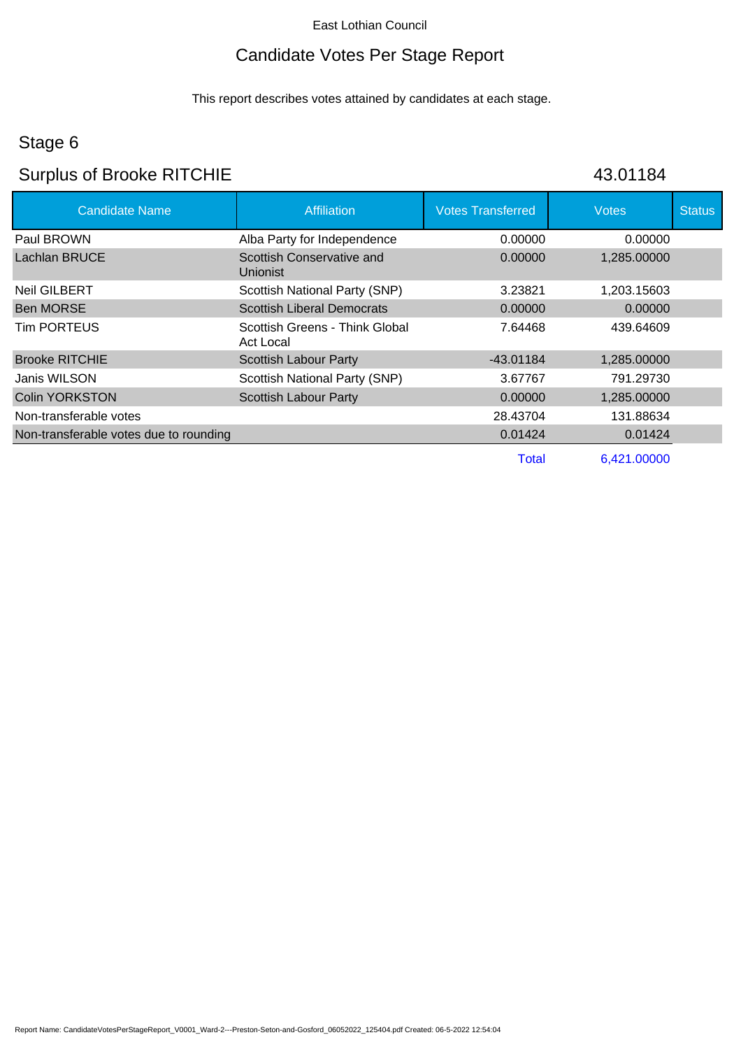# Candidate Votes Per Stage Report

This report describes votes attained by candidates at each stage.

## Stage 6

# Surplus of Brooke RITCHIE 43.01184

| <b>Candidate Name</b>                  | <b>Affiliation</b>                          | <b>Votes Transferred</b> | <b>Votes</b> | <b>Status</b> |
|----------------------------------------|---------------------------------------------|--------------------------|--------------|---------------|
| Paul BROWN                             | Alba Party for Independence                 | 0.00000                  | 0.00000      |               |
| Lachlan BRUCE                          | Scottish Conservative and<br>Unionist       | 0.00000                  | 1,285.00000  |               |
| <b>Neil GILBERT</b>                    | Scottish National Party (SNP)               | 3.23821                  | 1,203.15603  |               |
| <b>Ben MORSE</b>                       | <b>Scottish Liberal Democrats</b>           | 0.00000                  | 0.00000      |               |
| <b>Tim PORTEUS</b>                     | Scottish Greens - Think Global<br>Act Local | 7.64468                  | 439.64609    |               |
| <b>Brooke RITCHIE</b>                  | Scottish Labour Party                       | -43.01184                | 1,285.00000  |               |
| Janis WILSON                           | Scottish National Party (SNP)               | 3.67767                  | 791.29730    |               |
| <b>Colin YORKSTON</b>                  | <b>Scottish Labour Party</b>                | 0.00000                  | 1,285.00000  |               |
| Non-transferable votes                 |                                             | 28.43704                 | 131.88634    |               |
| Non-transferable votes due to rounding |                                             | 0.01424                  | 0.01424      |               |
|                                        |                                             | Total                    | 6.421.00000  |               |